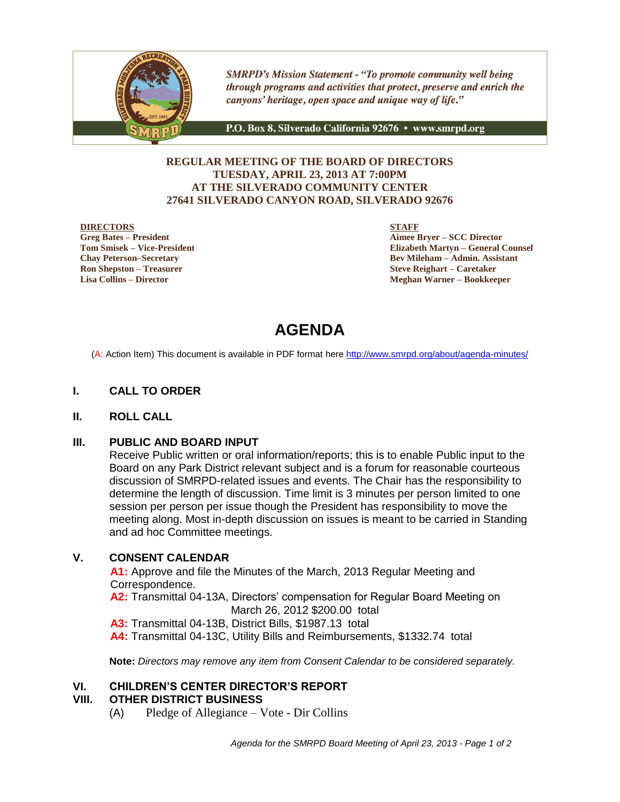

**SMRPD's Mission Statement - "To promote community well being** through programs and activities that protect, preserve and enrich the canyons' heritage, open space and unique way of life."

P.O. Box 8, Silverado California 92676 · www.smrpd.org

#### **REGULAR MEETING OF THE BOARD OF DIRECTORS TUESDAY, APRIL 23, 2013 AT 7:00PM AT THE SILVERADO COMMUNITY CENTER 27641 SILVERADO CANYON ROAD, SILVERADO 92676**

#### **DIRECTORS**

**Greg Bates – President Tom Smisek – Vice-President Chay Peterson–Secretary Ron Shepston – Treasurer Lisa Collins – Director**

**STAFF**

**Aimee Bryer – SCC Director Elizabeth Martyn – General Counsel Bev Mileham – Admin. Assistant Steve Reighart – Caretaker Meghan Warner – Bookkeeper**

# **AGENDA**

(A: Action Item) This document is available in PDF format here <http://www.smrpd.org/>about/agenda-minutes/

#### **I. CALL TO ORDER**

#### **II. ROLL CALL**

#### **III. PUBLIC AND BOARD INPUT**

Receive Public written or oral information/reports; this is to enable Public input to the Board on any Park District relevant subject and is a forum for reasonable courteous discussion of SMRPD-related issues and events. The Chair has the responsibility to determine the length of discussion. Time limit is 3 minutes per person limited to one session per person per issue though the President has responsibility to move the meeting along. Most in-depth discussion on issues is meant to be carried in Standing and ad hoc Committee meetings.

### **V. CONSENT CALENDAR**

**A1:** Approve and file the Minutes of the March, 2013 Regular Meeting and Correspondence.

**A2:** Transmittal 04-13A, Directors' compensation for Regular Board Meeting on March 26, 2012 \$200.00 total

**A3:** Transmittal 04-13B, District Bills, \$1987.13 total

**A4:** Transmittal 04-13C, Utility Bills and Reimbursements, \$1332.74 total

**Note:** *Directors may remove any item from Consent Calendar to be considered separately.*

#### **VI. CHILDREN'S CENTER DIRECTOR'S REPORT**

#### **VIII. OTHER DISTRICT BUSINESS**

(A) Pledge of Allegiance – Vote - Dir Collins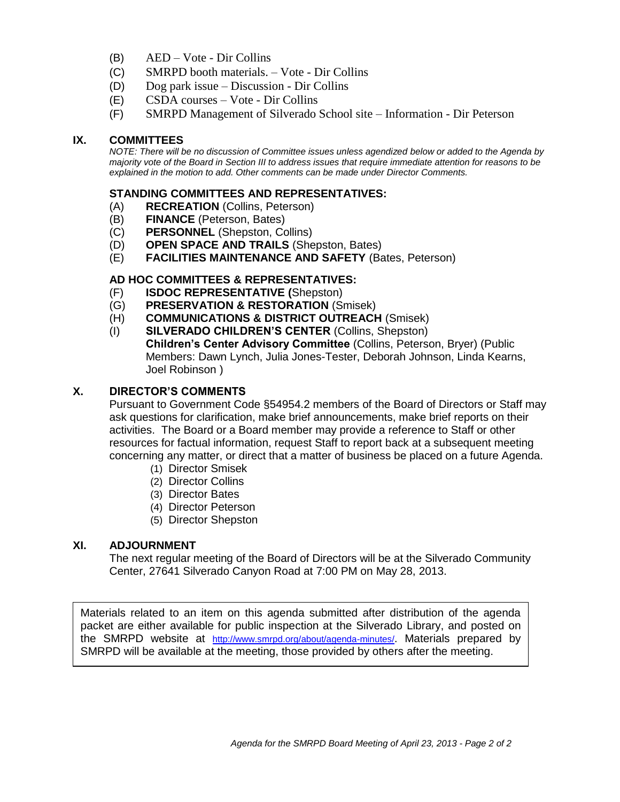- (B) AED Vote Dir Collins
- (C) SMRPD booth materials. Vote Dir Collins
- (D) Dog park issue Discussion Dir Collins
- (E) CSDA courses Vote Dir Collins
- (F) SMRPD Management of Silverado School site Information Dir Peterson

#### **IX. COMMITTEES**

*NOTE: There will be no discussion of Committee issues unless agendized below or added to the Agenda by majority vote of the Board in Section III to address issues that require immediate attention for reasons to be explained in the motion to add. Other comments can be made under Director Comments.*

#### **STANDING COMMITTEES AND REPRESENTATIVES:**

- (A) **RECREATION** (Collins, Peterson)
- (B) **FINANCE** (Peterson, Bates)
- (C) **PERSONNEL** (Shepston, Collins)
- (D) **OPEN SPACE AND TRAILS** (Shepston, Bates)
- (E) **FACILITIES MAINTENANCE AND SAFETY** (Bates, Peterson)

#### **AD HOC COMMITTEES & REPRESENTATIVES:**

- (F) **ISDOC REPRESENTATIVE (**Shepston)
- (G) **PRESERVATION & RESTORATION** (Smisek)
- (H) **COMMUNICATIONS & DISTRICT OUTREACH** (Smisek)
- (I) **SILVERADO CHILDREN'S CENTER** (Collins, Shepston) **Children's Center Advisory Committee** (Collins, Peterson, Bryer) (Public Members: Dawn Lynch, Julia Jones-Tester, Deborah Johnson, Linda Kearns, Joel Robinson )

### **X. DIRECTOR'S COMMENTS**

Pursuant to Government Code §54954.2 members of the Board of Directors or Staff may ask questions for clarification, make brief announcements, make brief reports on their activities. The Board or a Board member may provide a reference to Staff or other resources for factual information, request Staff to report back at a subsequent meeting concerning any matter, or direct that a matter of business be placed on a future Agenda.

- (1) Director Smisek
- (2) Director Collins
- (3) Director Bates
- (4) Director Peterson
- (5) Director Shepston

#### **XI. ADJOURNMENT**

The next regular meeting of the Board of Directors will be at the Silverado Community Center, 27641 Silverado Canyon Road at 7:00 PM on May 28, 2013.

Materials related to an item on this agenda submitted after distribution of the agenda packet are either available for public inspection at the Silverado Library, and posted on the SMRPD website at <http://www.smrpd.org/>about/agenda-minutes/. Materials prepared by SMRPD will be available at the meeting, those provided by others after the meeting.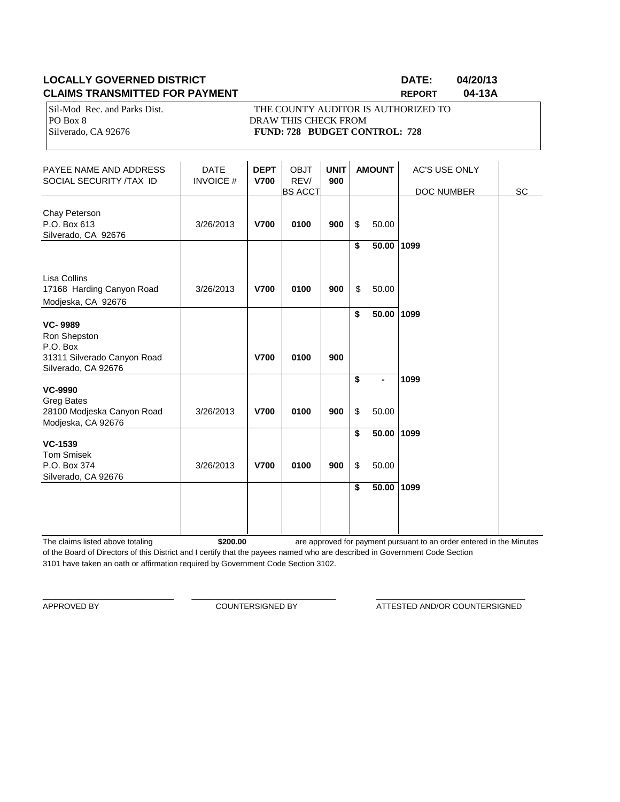### **LOCALLY GOVERNED DISTRICT DATE: 04/20/13 CLAIMS TRANSMITTED FOR PAYMENT REPORT 04-13A**

Sil-Mod Rec. and Parks Dist. THE COUNTY AUDITOR IS AUTHORIZED TO PO Box 8 DRAW THIS CHECK FROM Silverado, CA 92676 **FUND: 728 BUDGET CONTROL: 728** 

| PAYEE NAME AND ADDRESS<br>SOCIAL SECURITY /TAX ID                                       | <b>DATE</b><br><b>INVOICE#</b> | <b>DEPT</b><br><b>V700</b> | <b>OBJT</b><br>REV/<br><b>BS ACCT</b> | <b>UNIT</b><br>900 | <b>AMOUNT</b>      | <b>AC'S USE ONLY</b><br>DOC NUMBER | SC |
|-----------------------------------------------------------------------------------------|--------------------------------|----------------------------|---------------------------------------|--------------------|--------------------|------------------------------------|----|
| Chay Peterson<br>P.O. Box 613<br>Silverado, CA 92676                                    | 3/26/2013                      | <b>V700</b>                | 0100                                  | 900                | \$<br>50.00        |                                    |    |
|                                                                                         |                                |                            |                                       |                    | \$<br>$50.00$ 1099 |                                    |    |
| Lisa Collins<br>17168 Harding Canyon Road<br>Modjeska, CA 92676                         | 3/26/2013                      | <b>V700</b>                | 0100                                  | 900                | \$<br>50.00        |                                    |    |
| <b>VC-9989</b>                                                                          |                                |                            |                                       |                    | \$<br>50.00 1099   |                                    |    |
| Ron Shepston<br>P.O. Box<br>31311 Silverado Canyon Road<br>Silverado, CA 92676          |                                | <b>V700</b>                | 0100                                  | 900                |                    |                                    |    |
|                                                                                         |                                |                            |                                       |                    | \$                 | 1099                               |    |
| <b>VC-9990</b><br><b>Greg Bates</b><br>28100 Modjeska Canyon Road<br>Modjeska, CA 92676 | 3/26/2013                      | <b>V700</b>                | 0100                                  | 900                | \$<br>50.00        |                                    |    |
| <b>VC-1539</b>                                                                          |                                |                            |                                       |                    | \$<br>$50.00$ 1099 |                                    |    |
| <b>Tom Smisek</b><br>P.O. Box 374<br>Silverado, CA 92676                                | 3/26/2013                      | <b>V700</b>                | 0100                                  | 900                | \$<br>50.00        |                                    |    |
|                                                                                         |                                |                            |                                       |                    | \$<br>50.00 1099   |                                    |    |
|                                                                                         |                                |                            |                                       |                    |                    |                                    |    |

The claims listed above totaling **\$200.00** of the Board of Directors of this District and I certify that the payees named who are described in Government Code Section 3101 have taken an oath or affirmation required by Government Code Section 3102. are approved for payment pursuant to an order entered in the Minutes

\_\_\_\_\_\_\_\_\_\_\_\_\_\_\_\_\_\_\_\_\_\_\_\_\_\_\_\_\_\_ \_\_\_\_\_\_\_\_\_\_\_\_\_\_\_\_\_\_\_\_\_\_\_\_\_\_\_\_\_\_\_\_\_ \_\_\_\_\_\_\_\_\_\_\_\_\_\_\_\_\_\_\_\_\_\_\_\_\_\_\_\_\_\_\_\_\_\_

APPROVED BY **COUNTERSIGNED BY COUNTERSIGNED BY ATTESTED AND/OR COUNTERSIGNED**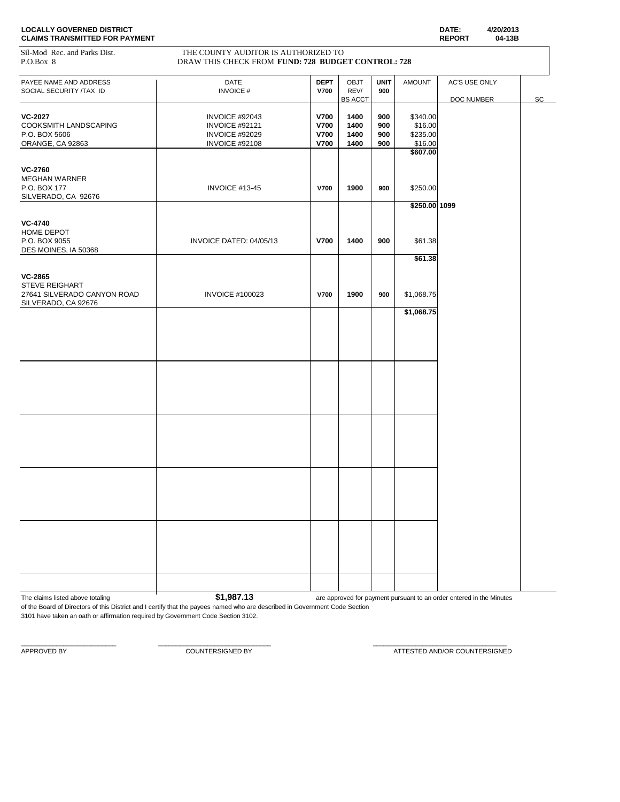| <b>LOCALLY GOVERNED DISTRICT</b>      | DATE:         | 4/20/2013 |
|---------------------------------------|---------------|-----------|
| <b>CLAIMS TRANSMITTED FOR PAYMENT</b> | <b>REPORT</b> | 04-13B    |

#### Sil-Mod Rec. and Parks Dist. THE COUNTY AUDITOR IS AUTHORIZED TO P.O.Box 8 P.O.Box 8 DRAW THIS CHECK FROM **FUND: 728 BUDGET CONTROL: 728**

| $1.0.00A$ 0                                                                  | DIA W THIS CHECK PROM FUND. 120 BUDGET CONTROL. 120                  |                                                          |                                       |                          |                                            |                             |    |
|------------------------------------------------------------------------------|----------------------------------------------------------------------|----------------------------------------------------------|---------------------------------------|--------------------------|--------------------------------------------|-----------------------------|----|
| PAYEE NAME AND ADDRESS<br>SOCIAL SECURITY /TAX ID                            | DATE<br><b>INVOICE#</b>                                              | <b>DEPT</b><br><b>V700</b>                               | <b>OBJT</b><br>REV/<br><b>BS ACCT</b> | <b>UNIT</b><br>900       | <b>AMOUNT</b>                              | AC'S USE ONLY<br>DOC NUMBER | SC |
| <b>VC-2027</b><br>COOKSMITH LANDSCAPING<br>P.O. BOX 5606<br>ORANGE, CA 92863 | INVOICE #92043<br>INVOICE #92121<br>INVOICE #92029<br>INVOICE #92108 | <b>V700</b><br><b>V700</b><br><b>V700</b><br><b>V700</b> | 1400<br>1400<br>1400<br>1400          | 900<br>900<br>900<br>900 | \$340.00<br>\$16.00<br>\$235.00<br>\$16.00 |                             |    |
| <b>VC-2760</b><br>MEGHAN WARNER<br>P.O. BOX 177<br>SILVERADO, CA 92676       | INVOICE #13-45                                                       | <b>V700</b>                                              | 1900                                  | 900                      | \$607.00<br>\$250.00                       |                             |    |
| <b>VC-4740</b><br>HOME DEPOT<br>P.O. BOX 9055<br>DES MOINES, IA 50368        | INVOICE DATED: 04/05/13                                              | <b>V700</b>                                              | 1400                                  | 900                      | \$250.00 1099<br>\$61.38                   |                             |    |
| <b>VC-2865</b><br>STEVE REIGHART<br>27641 SILVERADO CANYON ROAD              | <b>INVOICE #100023</b>                                               | <b>V700</b>                                              | 1900                                  | 900                      | \$61.38<br>\$1,068.75                      |                             |    |
| SILVERADO, CA 92676                                                          |                                                                      |                                                          |                                       |                          | \$1,068.75                                 |                             |    |
|                                                                              |                                                                      |                                                          |                                       |                          |                                            |                             |    |
|                                                                              |                                                                      |                                                          |                                       |                          |                                            |                             |    |
|                                                                              |                                                                      |                                                          |                                       |                          |                                            |                             |    |
|                                                                              |                                                                      |                                                          |                                       |                          |                                            |                             |    |
|                                                                              |                                                                      |                                                          |                                       |                          |                                            |                             |    |
|                                                                              |                                                                      |                                                          |                                       |                          |                                            |                             |    |

The claims listed above totaling **1.13 \$1,987.13** are approved for payment pursuant to an order entered in the Minutes

of the Board of Directors of this District and I certify that the payees named who are described in Government Code Section 3101 have taken an oath or affirmation required by Government Code Section 3102.

 $\_$  , and the set of the set of the set of the set of the set of the set of the set of the set of the set of the set of the set of the set of the set of the set of the set of the set of the set of the set of the set of th

APPROVED BY **A PEROVED BY** COUNTERSIGNED BY **COUNTERSIGNED BY** ATTESTED AND/OR COUNTERSIGNED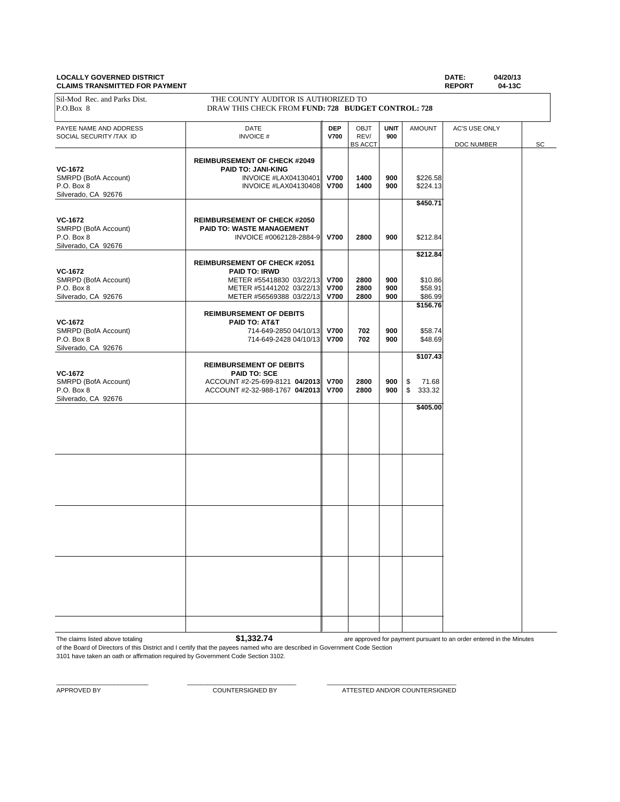#### **LOCALLY GOVERNED DISTRICT DATE: 04/20/13 CLAIMS TRANSMITTED FOR PAYMENT**

| <u> CLAINCHARDINI I LLU I CITTATINLINI</u> |                                                                                           |             |                        |             |                             | <b>INLI VINT</b><br>v+130 |    |
|--------------------------------------------|-------------------------------------------------------------------------------------------|-------------|------------------------|-------------|-----------------------------|---------------------------|----|
| Sil-Mod Rec. and Parks Dist.<br>P.O.Box 8  | THE COUNTY AUDITOR IS AUTHORIZED TO<br>DRAW THIS CHECK FROM FUND: 728 BUDGET CONTROL: 728 |             |                        |             |                             |                           |    |
|                                            |                                                                                           |             |                        |             |                             |                           |    |
| PAYEE NAME AND ADDRESS                     | DATE                                                                                      | <b>DEP</b>  | OBJT                   | <b>UNIT</b> | <b>AMOUNT</b>               | AC'S USE ONLY             |    |
| SOCIAL SECURITY /TAX ID                    | <b>INVOICE#</b>                                                                           | <b>V700</b> | REV/<br><b>BS ACCT</b> | 900         |                             | DOC NUMBER                | SC |
|                                            |                                                                                           |             |                        |             |                             |                           |    |
| <b>VC-1672</b>                             | <b>REIMBURSEMENT OF CHECK #2049</b>                                                       |             |                        |             |                             |                           |    |
| SMRPD (BofA Account)                       | <b>PAID TO: JANI-KING</b><br>INVOICE #LAX04130401                                         | <b>V700</b> | 1400                   | 900         | \$226.58                    |                           |    |
| P.O. Box 8                                 | INVOICE #LAX04130408                                                                      | <b>V700</b> | 1400                   | 900         | \$224.13                    |                           |    |
| Silverado, CA 92676                        |                                                                                           |             |                        |             |                             |                           |    |
|                                            |                                                                                           |             |                        |             | \$450.71                    |                           |    |
| <b>VC-1672</b>                             | <b>REIMBURSEMENT OF CHECK #2050</b>                                                       |             |                        |             |                             |                           |    |
| SMRPD (BofA Account)                       | <b>PAID TO: WASTE MANAGEMENT</b>                                                          |             |                        |             |                             |                           |    |
| P.O. Box 8                                 | INVOICE #0062128-2884-9 V700                                                              |             | 2800                   | 900         | \$212.84                    |                           |    |
| Silverado, CA 92676                        |                                                                                           |             |                        |             |                             |                           |    |
|                                            |                                                                                           |             |                        |             | \$212.84                    |                           |    |
|                                            | <b>REIMBURSEMENT OF CHECK #2051</b>                                                       |             |                        |             |                             |                           |    |
| <b>VC-1672</b><br>SMRPD (BofA Account)     | <b>PAID TO: IRWD</b><br>METER #55418830 03/22/13 V700                                     |             | 2800                   | 900         | \$10.86                     |                           |    |
| P.O. Box 8                                 | METER #51441202 03/22/13 V700                                                             |             | 2800                   | 900         | \$58.91                     |                           |    |
| Silverado, CA 92676                        | METER #56569388 03/22/13 V700                                                             |             | 2800                   | 900         | \$86.99                     |                           |    |
|                                            |                                                                                           |             |                        |             | \$156.76                    |                           |    |
|                                            | <b>REIMBURSEMENT OF DEBITS</b>                                                            |             |                        |             |                             |                           |    |
| <b>VC-1672</b><br>SMRPD (BofA Account)     | PAID TO: AT&T<br>714-649-2850 04/10/13 V700                                               |             | 702                    | 900         | \$58.74                     |                           |    |
| P.O. Box 8                                 | 714-649-2428 04/10/13 V700                                                                |             | 702                    | 900         | \$48.69                     |                           |    |
| Silverado, CA 92676                        |                                                                                           |             |                        |             |                             |                           |    |
|                                            |                                                                                           |             |                        |             | \$107.43                    |                           |    |
|                                            | <b>REIMBURSEMENT OF DEBITS</b>                                                            |             |                        |             |                             |                           |    |
| <b>VC-1672</b>                             | <b>PAID TO: SCE</b>                                                                       |             |                        |             |                             |                           |    |
| SMRPD (BofA Account)<br>P.O. Box 8         | ACCOUNT #2-25-699-8121 04/2013 V700<br>ACCOUNT #2-32-988-1767 04/2013 V700                |             | 2800<br>2800           | 900<br>900  | 71.68<br>\$<br>333.32<br>\$ |                           |    |
| Silverado, CA 92676                        |                                                                                           |             |                        |             |                             |                           |    |
|                                            |                                                                                           |             |                        |             | \$405.00                    |                           |    |
|                                            |                                                                                           |             |                        |             |                             |                           |    |
|                                            |                                                                                           |             |                        |             |                             |                           |    |
|                                            |                                                                                           |             |                        |             |                             |                           |    |
|                                            |                                                                                           |             |                        |             |                             |                           |    |
|                                            |                                                                                           |             |                        |             |                             |                           |    |
|                                            |                                                                                           |             |                        |             |                             |                           |    |
|                                            |                                                                                           |             |                        |             |                             |                           |    |
|                                            |                                                                                           |             |                        |             |                             |                           |    |
|                                            |                                                                                           |             |                        |             |                             |                           |    |
|                                            |                                                                                           |             |                        |             |                             |                           |    |
|                                            |                                                                                           |             |                        |             |                             |                           |    |
|                                            |                                                                                           |             |                        |             |                             |                           |    |
|                                            |                                                                                           |             |                        |             |                             |                           |    |
|                                            |                                                                                           |             |                        |             |                             |                           |    |
|                                            |                                                                                           |             |                        |             |                             |                           |    |
|                                            |                                                                                           |             |                        |             |                             |                           |    |
|                                            |                                                                                           |             |                        |             |                             |                           |    |
|                                            |                                                                                           |             |                        |             |                             |                           |    |
|                                            |                                                                                           |             |                        |             |                             |                           |    |
|                                            |                                                                                           |             |                        |             |                             |                           |    |
|                                            |                                                                                           |             |                        |             |                             |                           |    |
|                                            |                                                                                           |             |                        |             |                             |                           |    |

The claims listed above totaling **\$1,332.74** 

are approved for payment pursuant to an order entered in the Minutes

of the Board of Directors of this District and I certify that the payees named who are described in Government Code Section 3101 have taken an oath or affirmation required by Government Code Section 3102.

 $\_$  , and the set of the set of the set of the set of the set of the set of the set of the set of the set of the set of the set of the set of the set of the set of the set of the set of the set of the set of the set of th

APPROVED BY COUNTERSIGNED BY ATTESTED AND/OR COUNTERSIGNED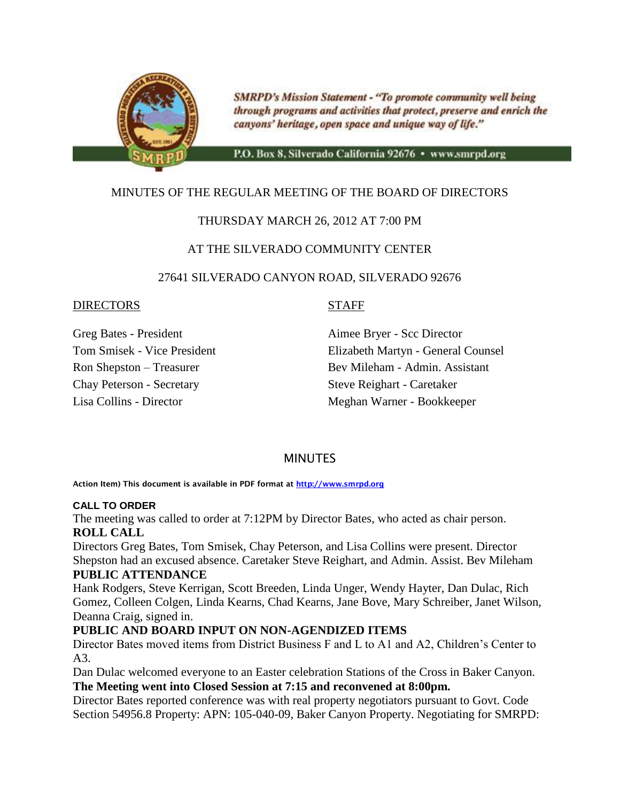

**SMRPD's Mission Statement - "To promote community well being** through programs and activities that protect, preserve and enrich the canyons' heritage, open space and unique way of life."

P.O. Box 8, Silverado California 92676 · www.smrpd.org

# MINUTES OF THE REGULAR MEETING OF THE BOARD OF DIRECTORS

## THURSDAY MARCH 26, 2012 AT 7:00 PM

### AT THE SILVERADO COMMUNITY CENTER

### 27641 SILVERADO CANYON ROAD, SILVERADO 92676

#### DIRECTORS STAFF

Greg Bates - President Aimee Bryer - Scc Director Chay Peterson - Secretary Steve Reighart - Caretaker

Tom Smisek - Vice President Elizabeth Martyn - General Counsel Ron Shepston – Treasurer Bev Mileham - Admin. Assistant Lisa Collins - Director Meghan Warner - Bookkeeper

### **MINUTES**

**Action Item) This document is available in PDF format at [http://www.smrpd.org](http://www.smrpd.org/)**

#### **CALL TO ORDER**

The meeting was called to order at 7:12PM by Director Bates, who acted as chair person. **ROLL CALL**

Directors Greg Bates, Tom Smisek, Chay Peterson, and Lisa Collins were present. Director Shepston had an excused absence. Caretaker Steve Reighart, and Admin. Assist. Bev Mileham

### **PUBLIC ATTENDANCE**

Hank Rodgers, Steve Kerrigan, Scott Breeden, Linda Unger, Wendy Hayter, Dan Dulac, Rich Gomez, Colleen Colgen, Linda Kearns, Chad Kearns, Jane Bove, Mary Schreiber, Janet Wilson, Deanna Craig, signed in.

### **PUBLIC AND BOARD INPUT ON NON-AGENDIZED ITEMS**

Director Bates moved items from District Business F and L to A1 and A2, Children's Center to A3.

Dan Dulac welcomed everyone to an Easter celebration Stations of the Cross in Baker Canyon. **The Meeting went into Closed Session at 7:15 and reconvened at 8:00pm.**

Director Bates reported conference was with real property negotiators pursuant to Govt. Code Section 54956.8 Property: APN: 105-040-09, Baker Canyon Property. Negotiating for SMRPD: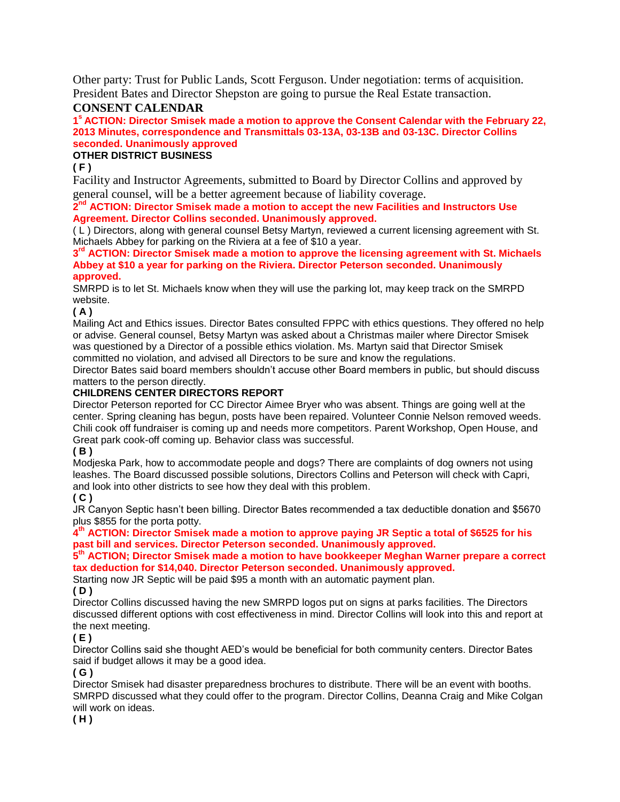Other party: Trust for Public Lands, Scott Ferguson. Under negotiation: terms of acquisition. President Bates and Director Shepston are going to pursue the Real Estate transaction.

#### **CONSENT CALENDAR**

**1 <sup>s</sup>ACTION: Director Smisek made a motion to approve the Consent Calendar with the February 22, 2013 Minutes, correspondence and Transmittals 03-13A, 03-13B and 03-13C. Director Collins seconded. Unanimously approved**

#### **OTHER DISTRICT BUSINESS**

**( F )** 

Facility and Instructor Agreements, submitted to Board by Director Collins and approved by general counsel, will be a better agreement because of liability coverage.

2<sup>nd</sup> ACTION: Director Smisek made a motion to accept the new Facilities and Instructors Use **Agreement. Director Collins seconded. Unanimously approved.**

( L ) Directors, along with general counsel Betsy Martyn, reviewed a current licensing agreement with St. Michaels Abbey for parking on the Riviera at a fee of \$10 a year.

**3 rd ACTION: Director Smisek made a motion to approve the licensing agreement with St. Michaels Abbey at \$10 a year for parking on the Riviera. Director Peterson seconded. Unanimously approved.**

SMRPD is to let St. Michaels know when they will use the parking lot, may keep track on the SMRPD website.

#### **( A )**

Mailing Act and Ethics issues. Director Bates consulted FPPC with ethics questions. They offered no help or advise. General counsel, Betsy Martyn was asked about a Christmas mailer where Director Smisek was questioned by a Director of a possible ethics violation. Ms. Martyn said that Director Smisek committed no violation, and advised all Directors to be sure and know the regulations.

Director Bates said board members shouldn't accuse other Board members in public, but should discuss matters to the person directly.

#### **CHILDRENS CENTER DIRECTORS REPORT**

Director Peterson reported for CC Director Aimee Bryer who was absent. Things are going well at the center. Spring cleaning has begun, posts have been repaired. Volunteer Connie Nelson removed weeds. Chili cook off fundraiser is coming up and needs more competitors. Parent Workshop, Open House, and Great park cook-off coming up. Behavior class was successful.

#### **( B )**

Modjeska Park, how to accommodate people and dogs? There are complaints of dog owners not using leashes. The Board discussed possible solutions, Directors Collins and Peterson will check with Capri, and look into other districts to see how they deal with this problem.

#### **( C )**

JR Canyon Septic hasn't been billing. Director Bates recommended a tax deductible donation and \$5670 plus \$855 for the porta potty.

**4 th ACTION: Director Smisek made a motion to approve paying JR Septic a total of \$6525 for his past bill and services. Director Peterson seconded. Unanimously approved.** 

#### **5 th ACTION; Director Smisek made a motion to have bookkeeper Meghan Warner prepare a correct tax deduction for \$14,040. Director Peterson seconded. Unanimously approved.**

Starting now JR Septic will be paid \$95 a month with an automatic payment plan.

#### **( D )**

Director Collins discussed having the new SMRPD logos put on signs at parks facilities. The Directors discussed different options with cost effectiveness in mind. Director Collins will look into this and report at the next meeting.

#### **( E )**

Director Collins said she thought AED's would be beneficial for both community centers. Director Bates said if budget allows it may be a good idea.

#### **( G )**

Director Smisek had disaster preparedness brochures to distribute. There will be an event with booths. SMRPD discussed what they could offer to the program. Director Collins, Deanna Craig and Mike Colgan will work on ideas.

#### **( H )**